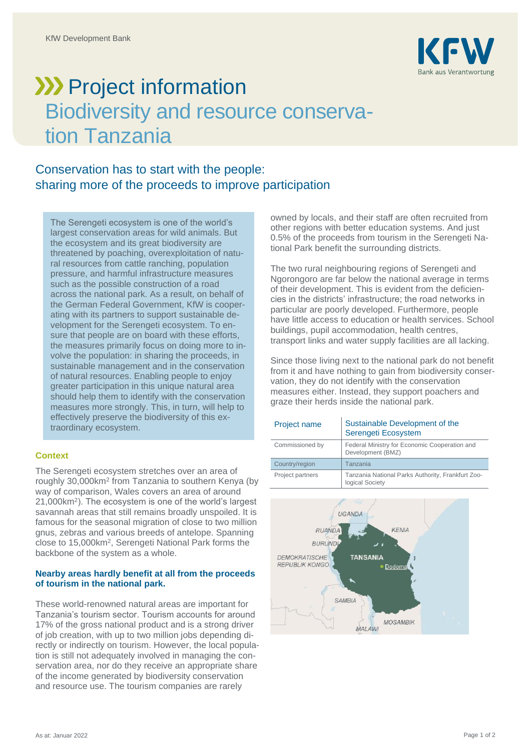

# **XXX** Project information Biodiversity and resource conservation Tanzania

## Conservation has to start with the people: sharing more of the proceeds to improve participation

The Serengeti ecosystem is one of the world's largest conservation areas for wild animals. But the ecosystem and its great biodiversity are threatened by poaching, overexploitation of natural resources from cattle ranching, population pressure, and harmful infrastructure measures such as the possible construction of a road across the national park. As a result, on behalf of the German Federal Government, KfW is cooperating with its partners to support sustainable development for the Serengeti ecosystem. To ensure that people are on board with these efforts, the measures primarily focus on doing more to involve the population: in sharing the proceeds, in sustainable management and in the conservation of natural resources. Enabling people to enjoy greater participation in this unique natural area should help them to identify with the conservation measures more strongly. This, in turn, will help to effectively preserve the biodiversity of this extraordinary ecosystem.

### **Context**

The Serengeti ecosystem stretches over an area of roughly 30,000km<sup>2</sup> from Tanzania to southern Kenya (by way of comparison, Wales covers an area of around 21,000km<sup>2</sup> ). The ecosystem is one of the world's largest savannah areas that still remains broadly unspoiled. It is famous for the seasonal migration of close to two million gnus, zebras and various breeds of antelope. Spanning close to 15,000km<sup>2</sup> , Serengeti National Park forms the backbone of the system as a whole.

### **Nearby areas hardly benefit at all from the proceeds of tourism in the national park.**

These world-renowned natural areas are important for Tanzania's tourism sector. Tourism accounts for around 17% of the gross national product and is a strong driver of job creation, with up to two million jobs depending directly or indirectly on tourism. However, the local population is still not adequately involved in managing the conservation area, nor do they receive an appropriate share of the income generated by biodiversity conservation and resource use. The tourism companies are rarely

owned by locals, and their staff are often recruited from other regions with better education systems. And just 0.5% of the proceeds from tourism in the Serengeti National Park benefit the surrounding districts.

The two rural neighbouring regions of Serengeti and Ngorongoro are far below the national average in terms of their development. This is evident from the deficiencies in the districts' infrastructure; the road networks in particular are poorly developed. Furthermore, people have little access to education or health services. School buildings, pupil accommodation, health centres, transport links and water supply facilities are all lacking.

Since those living next to the national park do not benefit from it and have nothing to gain from biodiversity conservation, they do not identify with the conservation measures either. Instead, they support poachers and graze their herds inside the national park.

| Project name     | Sustainable Development of the<br>Serengeti Ecosystem                |
|------------------|----------------------------------------------------------------------|
| Commissioned by  | Federal Ministry for Economic Cooperation and<br>Development (BMZ)   |
| Country/region   | Tanzania                                                             |
| Project partners | Tanzania National Parks Authority, Frankfurt Zoo-<br>logical Society |